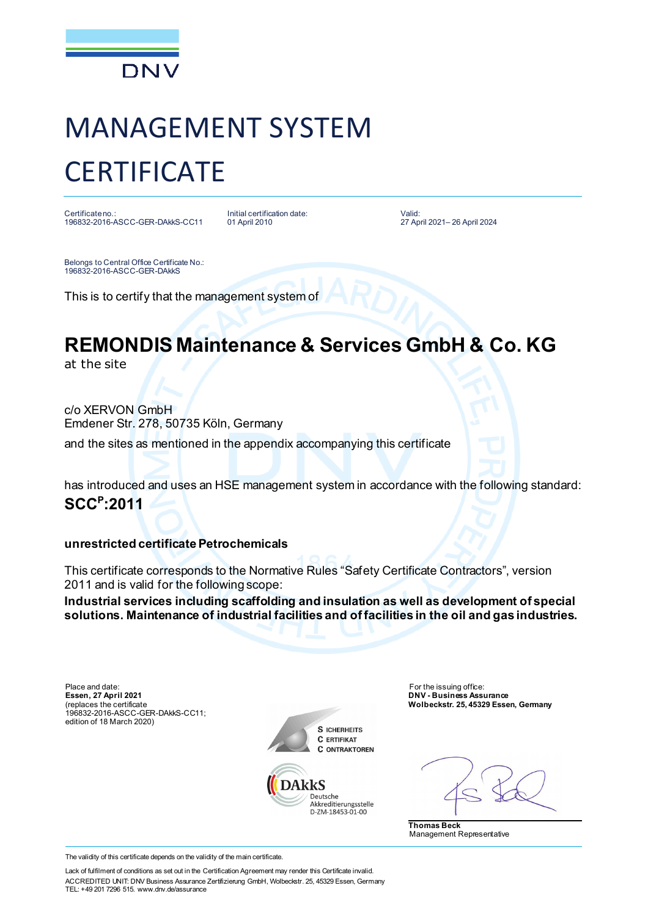

# MANAGEMENT SYSTEM **CERTIFICATE**

Certificate no.: 196832-2016-ASCC-GER-DAkkS-CC11 Initial certification date: 01 April 2010

Valid: 27 April 2021– 26 April 2024

Belongs to Central Office Certificate No.: 196832-2016-ASCC-GER-DAkkS

This is to certify that the management system of

## **REMONDIS Maintenance & Services GmbH & Co. KG**

at the site

c/o XERVON GmbH Emdener Str. 278, 50735 Köln, Germany

and the sites as mentioned in the appendix accompanying this certificate

has introduced and uses an HSE management system in accordance with the following standard: **SCC<sup>P</sup> :2011**

### **unrestricted certificate Petrochemicals**

This certificate corresponds to the Normative Rules "Safety Certificate Contractors", version 2011 and is valid for the following scope:

**Industrial services including scaffolding and insulation as well as development of special solutions. Maintenance of industrial facilities and of facilities in the oil and gas industries.**

Place and date: For the issuing office: For the issuing office: **Essen, 27 April 2021** (replaces the certificate 196832-2016-ASCC-GER-DAkkS-CC11; edition of 18 March 2020)





**DNV - Business Assurance Wolbeckstr. 25, 45329 Essen, Germany**

**Thomas Beck** Management Representative

The validity of this certificate depends on the validity of the main certificate.

Lack of fulfilment of conditions as set out in the Certification Agreement may render this Certificate invalid. ACCREDITED UNIT: DNV Business Assurance Zertifizierung GmbH, Wolbeckstr. 25, 45329 Essen, Germany TEL: +49 201 7296 515. www.dnv.de/assurance